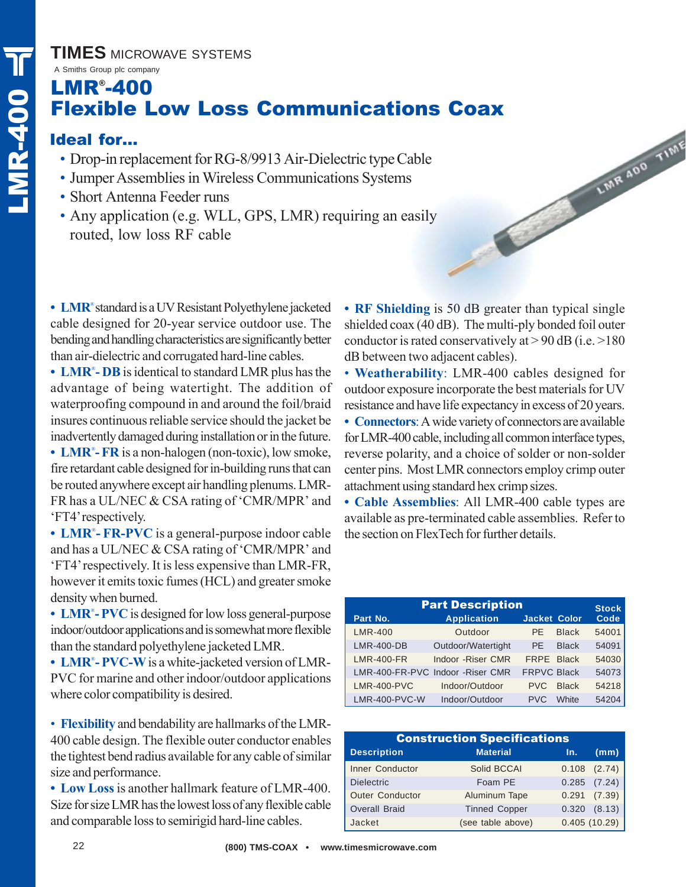#### **TIMES** MICROWAVE SYSTEMS

### A Smiths Group plc company LMR® -400 Flexible Low Loss Communications Coax

### Ideal for…

- Drop-in replacement for RG-8/9913 Air-Dielectric type Cable
- Jumper Assemblies in Wireless Communications Systems
- Short Antenna Feeder runs
- Any application (e.g. WLL, GPS, LMR) requiring an easily routed, low loss RF cable

**• LMR**® standard is a UV Resistant Polyethylene jacketed cable designed for 20-year service outdoor use. The bending and handling characteristics are significantly better than air-dielectric and corrugated hard-line cables.

**• LMR**® **- DB**is identical to standard LMR plus has the advantage of being watertight. The addition of waterproofing compound in and around the foil/braid insures continuous reliable service should the jacket be inadvertently damaged during installation or in the future. **• LMR**® **- FR** is a non-halogen (non-toxic), low smoke,

fire retardant cable designed for in-building runs that can be routed anywhere except air handling plenums. LMR-FR has a UL/NEC & CSA rating of 'CMR/MPR' and 'FT4' respectively.

**• LMR**® **- FR-PVC** is a general-purpose indoor cable and has a UL/NEC & CSA rating of 'CMR/MPR' and 'FT4' respectively. It is less expensive than LMR-FR, however it emits toxic fumes (HCL) and greater smoke density when burned.

**• LMR**® **- PVC**is designed for low loss general-purpose indoor/outdoor applications and is somewhat more flexible than the standard polyethylene jacketed LMR.

**• LMR**® **- PVC-W**is a white-jacketed version of LMR-PVC for marine and other indoor/outdoor applications where color compatibility is desired.

• **Flexibility** and bendability are hallmarks of the LMR-400 cable design. The flexible outer conductor enables the tightest bend radius available for any cable of similar size and performance.

**• Low Loss**is another hallmark feature of LMR-400. Size for size LMR has the lowest loss of any flexible cable and comparable loss to semirigid hard-line cables.

• **RF Shielding** is 50 dB greater than typical single shielded coax (40 dB). The multi-ply bonded foil outer conductor is rated conservatively at  $> 90$  dB (i.e.  $> 180$ ) dB between two adjacent cables).

LWR 400 TIME

• **Weatherability**: LMR-400 cables designed for outdoor exposure incorporate the best materials for UV resistance and have life expectancy in excess of 20 years.

**• Connectors**: A wide variety of connectors are available for LMR-400 cable, including all common interface types, reverse polarity, and a choice of solder or non-solder center pins. Most LMR connectors employ crimp outer attachment using standard hex crimp sizes.

**• Cable Assemblies**: All LMR-400 cable types are available as pre-terminated cable assemblies. Refer to the section on FlexTech for further details.

| <b>Part Description</b> |                                  |                      |                      |  |  |  |  |  |  |
|-------------------------|----------------------------------|----------------------|----------------------|--|--|--|--|--|--|
| Part No.                | <b>Application</b>               | <b>Jacket Color</b>  | <b>Stock</b><br>Code |  |  |  |  |  |  |
| <b>LMR-400</b>          | Outdoor                          | <b>Black</b><br>PF.  | 54001                |  |  |  |  |  |  |
| <b>LMR-400-DB</b>       | Outdoor/Watertight               | <b>Black</b><br>PF.  | 54091                |  |  |  |  |  |  |
| <b>LMR-400-FR</b>       | Indoor -Riser CMR                | FRPE Black           | 54030                |  |  |  |  |  |  |
|                         | LMR-400-FR-PVC Indoor -Riser CMR | <b>FRPVC Black</b>   | 54073                |  |  |  |  |  |  |
| <b>LMR-400-PVC</b>      | Indoor/Outdoor                   | <b>Black</b><br>PVC. | 54218                |  |  |  |  |  |  |
| LMR-400-PVC-W           | Indoor/Outdoor                   | <b>White</b><br>PVC. | 54204                |  |  |  |  |  |  |

| <b>Construction Specifications</b> |                      |       |                  |  |  |  |  |  |  |
|------------------------------------|----------------------|-------|------------------|--|--|--|--|--|--|
| <b>Description</b>                 | <b>Material</b>      | In.   | (mm)             |  |  |  |  |  |  |
| <b>Inner Conductor</b>             | Solid BCCAI          |       | $0.108$ $(2.74)$ |  |  |  |  |  |  |
| <b>Dielectric</b>                  | Foam PE              |       | $0.285$ $(7.24)$ |  |  |  |  |  |  |
| <b>Outer Conductor</b>             | Aluminum Tape        | 0.291 | (7.39)           |  |  |  |  |  |  |
| <b>Overall Braid</b>               | <b>Tinned Copper</b> | 0.320 | (8.13)           |  |  |  |  |  |  |
| Jacket                             | (see table above)    |       | 0.405(10.29)     |  |  |  |  |  |  |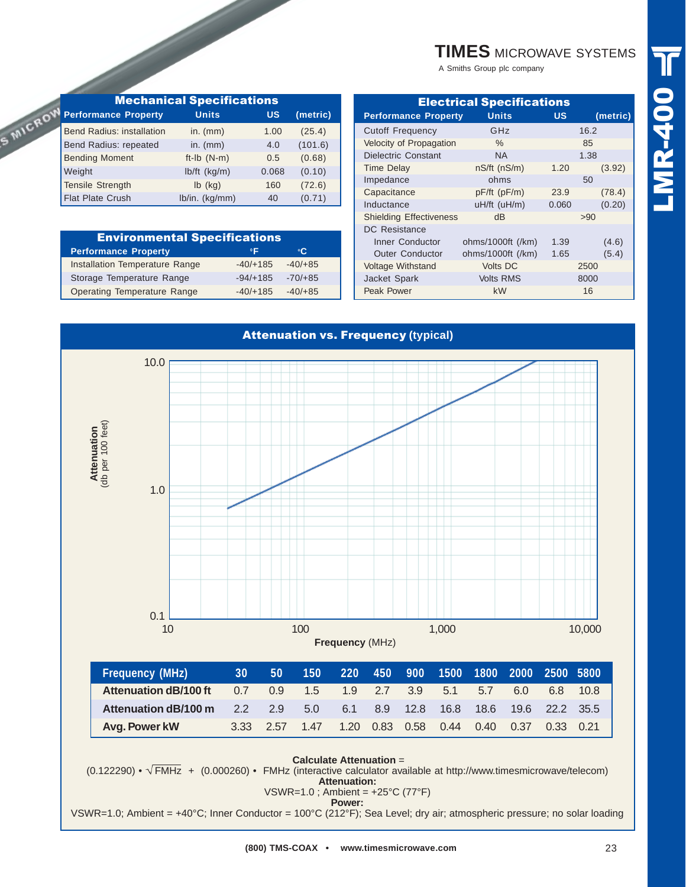| <b>TIMES MICROWAVE SYSTEMS</b> |
|--------------------------------|
|                                |

A Smiths Group plc company

| <b>Mechanical Specifications</b> |                |           |          |  |  |  |  |  |  |  |  |
|----------------------------------|----------------|-----------|----------|--|--|--|--|--|--|--|--|
| <b>Performance Property</b>      | <b>Units</b>   | <b>US</b> | (metric) |  |  |  |  |  |  |  |  |
| <b>Bend Radius: installation</b> | in. $(mm)$     | 1.00      | (25.4)   |  |  |  |  |  |  |  |  |
| Bend Radius: repeated            | in. $(mm)$     | 4.0       | (101.6)  |  |  |  |  |  |  |  |  |
| <b>Bending Moment</b>            | ft-Ib $(N-m)$  | 0.5       | (0.68)   |  |  |  |  |  |  |  |  |
| Weight                           | $lb/ft$ (kg/m) | 0.068     | (0.10)   |  |  |  |  |  |  |  |  |
| <b>Tensile Strength</b>          | $Ib$ (kg)      | 160       | (72.6)   |  |  |  |  |  |  |  |  |
| <b>Flat Plate Crush</b>          | lb/in. (kg/mm) | 40        | (0.71)   |  |  |  |  |  |  |  |  |

S MICRO

| <b>Environmental Specifications</b> |            |           |  |  |  |  |  |  |  |  |
|-------------------------------------|------------|-----------|--|--|--|--|--|--|--|--|
| <b>Performance Property</b>         | °C.        |           |  |  |  |  |  |  |  |  |
| Installation Temperature Range      | $-40/+185$ | $-40/+85$ |  |  |  |  |  |  |  |  |
| Storage Temperature Range           | $-94/+185$ | $-70/+85$ |  |  |  |  |  |  |  |  |
| Operating Temperature Range         | $-40/+185$ | $-40/+85$ |  |  |  |  |  |  |  |  |

| <b>Electrical Specifications</b> |                    |       |          |  |  |  |  |  |  |  |
|----------------------------------|--------------------|-------|----------|--|--|--|--|--|--|--|
| <b>Performance Property</b>      | <b>Units</b>       | US    | (metric) |  |  |  |  |  |  |  |
| <b>Cutoff Frequency</b>          | GHz                |       | 16.2     |  |  |  |  |  |  |  |
| Velocity of Propagation          | $\%$               |       | 85       |  |  |  |  |  |  |  |
| Dielectric Constant              | NA.                |       | 1.38     |  |  |  |  |  |  |  |
| <b>Time Delay</b>                | $nS/ft$ ( $nS/m$ ) | 1.20  | (3.92)   |  |  |  |  |  |  |  |
| Impedance                        | ohms               |       | 50       |  |  |  |  |  |  |  |
| Capacitance                      | pF/ft (pF/m)       | 23.9  | (78.4)   |  |  |  |  |  |  |  |
| Inductance                       | uH/ft (uH/m)       | 0.060 | (0.20)   |  |  |  |  |  |  |  |
| <b>Shielding Effectiveness</b>   | dB                 |       | >90      |  |  |  |  |  |  |  |
| <b>DC</b> Resistance             |                    |       |          |  |  |  |  |  |  |  |
| Inner Conductor                  | ohms/1000ft (/km)  | 1.39  | (4.6)    |  |  |  |  |  |  |  |
| <b>Outer Conductor</b>           | ohms/1000ft (/km)  | 1.65  | (5.4)    |  |  |  |  |  |  |  |
| <b>Voltage Withstand</b>         | <b>Volts DC</b>    |       | 2500     |  |  |  |  |  |  |  |
| Jacket Spark                     | <b>Volts RMS</b>   |       | 8000     |  |  |  |  |  |  |  |
| Peak Power                       | <b>kW</b>          |       | 16       |  |  |  |  |  |  |  |
|                                  |                    |       |          |  |  |  |  |  |  |  |

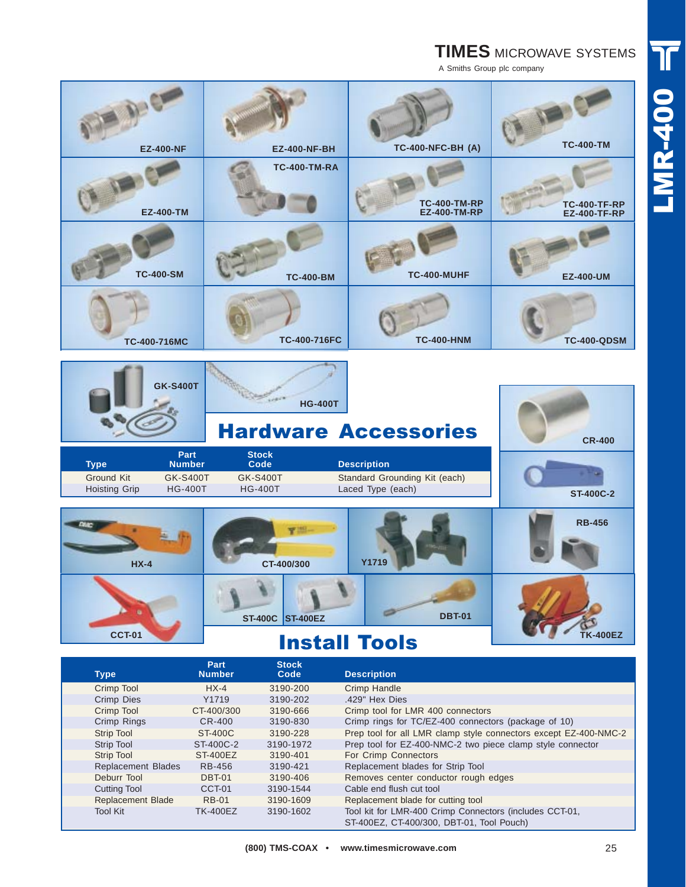## **TIMES** MICROWAVE SYSTEMS

A Smiths Group plc company

| <b>EZ-400-NF</b> | <b>EZ-400-NF-BH</b> | <b>TC-400-NFC-BH (A)</b>             | <b>TC-400-TM</b>                     |
|------------------|---------------------|--------------------------------------|--------------------------------------|
| <b>EZ-400-TM</b> | <b>TC-400-TM-RA</b> | <b>TC-400-TM-RP<br/>EZ-400-TM-RP</b> | <b>TC-400-TF-RP<br/>EZ-400-TF-RP</b> |
| <b>TC-400-SM</b> | <b>TC-400-BM</b>    | <b>TC-400-MUHF</b>                   | <b>EZ-400-UM</b>                     |
| TC-400-716MC     | TC-400-716FC        | <b>TC-400-HNM</b>                    | <b>TC-400-QDSM</b>                   |
| <b>GK-S400T</b>  | <b>HG-400T</b>      |                                      |                                      |

# Hardware Accessories

| Type          | Part<br><b>Number</b> | <b>Stock</b><br>Code | <b>Description</b>            |  |
|---------------|-----------------------|----------------------|-------------------------------|--|
| Ground Kit    | <b>GK-S400T</b>       | <b>GK-S400T</b>      | Standard Grounding Kit (each) |  |
| Hoisting Grip | <b>HG-400T</b>        | <b>HG-400T</b>       | Laced Type (each)             |  |



## Install Tools

| <b>Type</b>               | Part<br><b>Number</b> | <b>Stock</b><br>Code | <b>Description</b>                                                                                   |
|---------------------------|-----------------------|----------------------|------------------------------------------------------------------------------------------------------|
| Crimp Tool                | $HX-4$                | 3190-200             | Crimp Handle                                                                                         |
| Crimp Dies                | Y1719                 | 3190-202             | .429" Hex Dies                                                                                       |
| Crimp Tool                | CT-400/300            | 3190-666             | Crimp tool for LMR 400 connectors                                                                    |
| Crimp Rings               | $CR-400$              | 3190-830             | Crimp rings for TC/EZ-400 connectors (package of 10)                                                 |
| <b>Strip Tool</b>         | ST-400C               | 3190-228             | Prep tool for all LMR clamp style connectors except EZ-400-NMC-2                                     |
| <b>Strip Tool</b>         | ST-400C-2             | 3190-1972            | Prep tool for EZ-400-NMC-2 two piece clamp style connector                                           |
| <b>Strip Tool</b>         | <b>ST-400EZ</b>       | 3190-401             | For Crimp Connectors                                                                                 |
| <b>Replacement Blades</b> | RB-456                | 3190-421             | Replacement blades for Strip Tool                                                                    |
| Deburr Tool               | <b>DBT-01</b>         | 3190-406             | Removes center conductor rough edges                                                                 |
| <b>Cutting Tool</b>       | CCT-01                | 3190-1544            | Cable end flush cut tool                                                                             |
| <b>Replacement Blade</b>  | <b>RB-01</b>          | 3190-1609            | Replacement blade for cutting tool                                                                   |
| <b>Tool Kit</b>           | <b>TK-400EZ</b>       | 3190-1602            | Tool kit for LMR-400 Crimp Connectors (includes CCT-01,<br>ST-400EZ, CT-400/300, DBT-01, Tool Pouch) |

**CR-400**

**ST-400C-2**